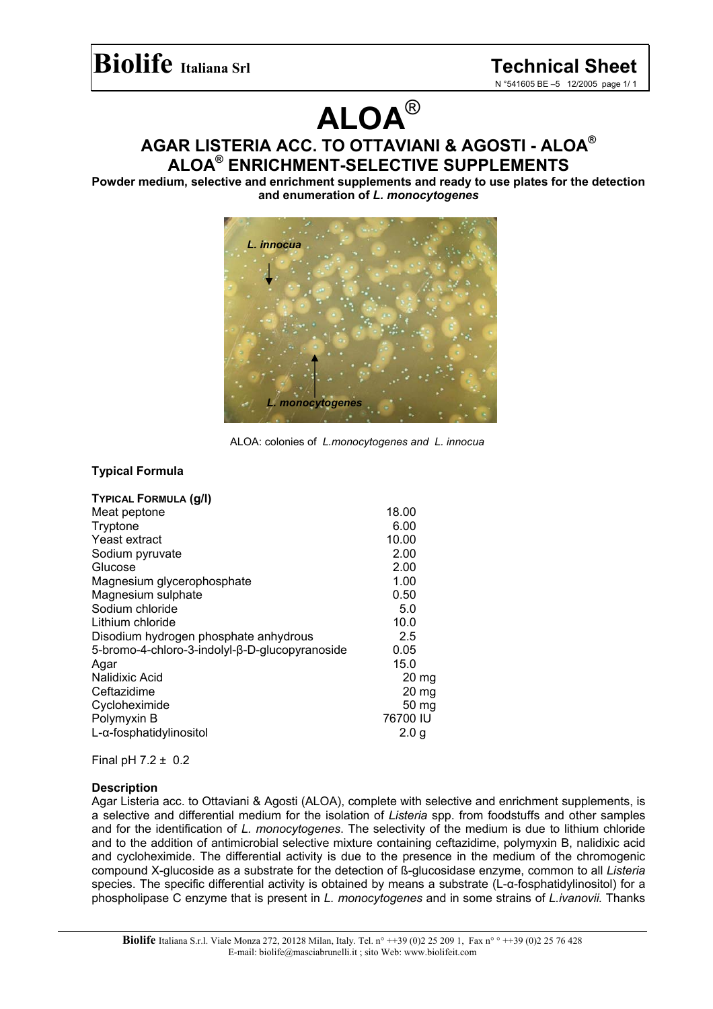# **ALOA**®

**AGAR LISTERIA ACC. TO OTTAVIANI & AGOSTI - ALOA® ALOA® ENRICHMENT-SELECTIVE SUPPLEMENTS** 

**Powder medium, selective and enrichment supplements and ready to use plates for the detection and enumeration of** *L. monocytogenes* 



ALOA: colonies of *L.monocytogenes and L. innocua*

## **Typical Formula**

|                                                | 18.00            |
|------------------------------------------------|------------------|
| Meat peptone                                   |                  |
| Tryptone                                       | 6.00             |
| Yeast extract                                  | 10.00            |
| Sodium pyruvate                                | 2.00             |
| Glucose                                        | 2.00             |
| Magnesium glycerophosphate                     | 1.00             |
| Magnesium sulphate                             | 0.50             |
| Sodium chloride                                | 5.0              |
| Lithium chloride                               | 10.0             |
| Disodium hydrogen phosphate anhydrous          | 2.5              |
| 5-bromo-4-chloro-3-indolyl-β-D-glucopyranoside | 0.05             |
| Agar                                           | 15.0             |
| Nalidixic Acid                                 | $20 \text{ mg}$  |
| Ceftazidime                                    | $20 \text{ mg}$  |
| Cycloheximide                                  | 50 mg            |
| Polymyxin B                                    | 76700 IU         |
| L-α-fosphatidylinositol                        | 2.0 <sub>q</sub> |

Final pH 7.2 ± 0.2

#### **Description**

Agar Listeria acc. to Ottaviani & Agosti (ALOA), complete with selective and enrichment supplements, is a selective and differential medium for the isolation of *Listeria* spp. from foodstuffs and other samples and for the identification of *L. monocytogenes*. The selectivity of the medium is due to lithium chloride and to the addition of antimicrobial selective mixture containing ceftazidime, polymyxin B, nalidixic acid and cycloheximide. The differential activity is due to the presence in the medium of the chromogenic compound X-glucoside as a substrate for the detection of ß-glucosidase enzyme, common to all *Listeria* species. The specific differential activity is obtained by means a substrate (L-α-fosphatidylinositol) for a phospholipase C enzyme that is present in *L. monocytogenes* and in some strains of *L.ivanovii.* Thanks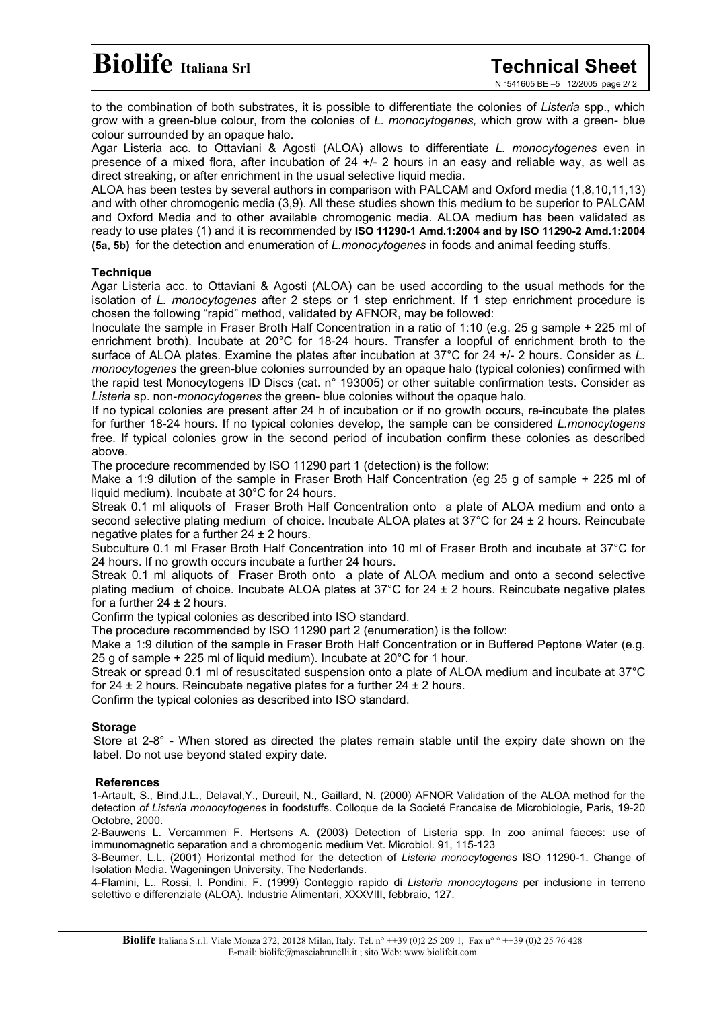to the combination of both substrates, it is possible to differentiate the colonies of *Listeria* spp., which grow with a green-blue colour, from the colonies of *L. monocytogenes,* which grow with a green- blue colour surrounded by an opaque halo.

Agar Listeria acc. to Ottaviani & Agosti (ALOA) allows to differentiate *L. monocytogenes* even in presence of a mixed flora, after incubation of 24 +/- 2 hours in an easy and reliable way, as well as direct streaking, or after enrichment in the usual selective liquid media.

ALOA has been testes by several authors in comparison with PALCAM and Oxford media (1,8,10,11,13) and with other chromogenic media (3,9). All these studies shown this medium to be superior to PALCAM and Oxford Media and to other available chromogenic media. ALOA medium has been validated as ready to use plates (1) and it is recommended by **ISO 11290-1 Amd.1:2004 and by ISO 11290-2 Amd.1:2004 (5a, 5b)** for the detection and enumeration of *L.monocytogenes* in foods and animal feeding stuffs.

## **Technique**

Agar Listeria acc. to Ottaviani & Agosti (ALOA) can be used according to the usual methods for the isolation of *L. monocytogenes* after 2 steps or 1 step enrichment. If 1 step enrichment procedure is chosen the following "rapid" method, validated by AFNOR, may be followed:

Inoculate the sample in Fraser Broth Half Concentration in a ratio of 1:10 (e.g. 25 g sample + 225 ml of enrichment broth). Incubate at 20°C for 18-24 hours. Transfer a loopful of enrichment broth to the surface of ALOA plates. Examine the plates after incubation at 37°C for 24 +/- 2 hours. Consider as *L. monocytogenes* the green-blue colonies surrounded by an opaque halo (typical colonies) confirmed with the rapid test Monocytogens ID Discs (cat. n° 193005) or other suitable confirmation tests. Consider as *Listeria* sp. non-*monocytogenes* the green- blue colonies without the opaque halo.

If no typical colonies are present after 24 h of incubation or if no growth occurs, re-incubate the plates for further 18-24 hours. If no typical colonies develop, the sample can be considered *L.monocytogens* free. If typical colonies grow in the second period of incubation confirm these colonies as described above.

The procedure recommended by ISO 11290 part 1 (detection) is the follow:

Make a 1:9 dilution of the sample in Fraser Broth Half Concentration (eg 25 g of sample + 225 ml of liquid medium). Incubate at 30°C for 24 hours.

Streak 0.1 ml aliquots of Fraser Broth Half Concentration onto a plate of ALOA medium and onto a second selective plating medium of choice. Incubate ALOA plates at 37°C for 24 ± 2 hours. Reincubate negative plates for a further  $24 \pm 2$  hours.

Subculture 0.1 ml Fraser Broth Half Concentration into 10 ml of Fraser Broth and incubate at 37°C for 24 hours. If no growth occurs incubate a further 24 hours.

Streak 0.1 ml aliquots of Fraser Broth onto a plate of ALOA medium and onto a second selective plating medium of choice. Incubate ALOA plates at  $37^{\circ}$ C for  $24 \pm 2$  hours. Reincubate negative plates for a further  $24 \pm 2$  hours.

Confirm the typical colonies as described into ISO standard.

The procedure recommended by ISO 11290 part 2 (enumeration) is the follow:

Make a 1:9 dilution of the sample in Fraser Broth Half Concentration or in Buffered Peptone Water (e.g. 25 g of sample + 225 ml of liquid medium). Incubate at 20°C for 1 hour.

Streak or spread 0.1 ml of resuscitated suspension onto a plate of ALOA medium and incubate at 37°C for 24  $\pm$  2 hours. Reincubate negative plates for a further 24  $\pm$  2 hours.

Confirm the typical colonies as described into ISO standard.

## **Storage**

Store at 2-8° - When stored as directed the plates remain stable until the expiry date shown on the label. Do not use beyond stated expiry date.

#### **References**

1-Artault, S., Bind,J.L., Delaval,Y., Dureuil, N., Gaillard, N. (2000) AFNOR Validation of the ALOA method for the detection *of Listeria monocytogenes* in foodstuffs. Colloque de la Societé Francaise de Microbiologie, Paris, 19-20 Octobre, 2000.

2-Bauwens L. Vercammen F. Hertsens A. (2003) Detection of Listeria spp. In zoo animal faeces: use of immunomagnetic separation and a chromogenic medium Vet. Microbiol. 91, 115-123

3-Beumer, L.L. (2001) Horizontal method for the detection of *Listeria monocytogenes* ISO 11290-1. Change of Isolation Media. Wageningen University, The Nederlands.

4-Flamini, L., Rossi, I. Pondini, F. (1999) Conteggio rapido di *Listeria monocytogens* per inclusione in terreno selettivo e differenziale (ALOA). Industrie Alimentari, XXXVIII, febbraio, 127.